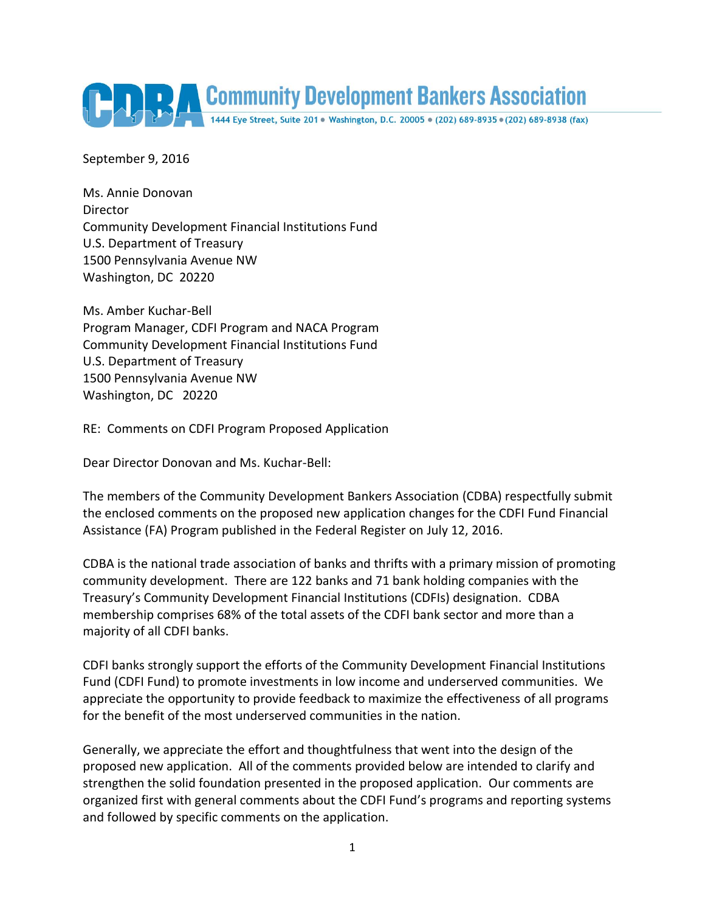

September 9, 2016

Ms. Annie Donovan Director Community Development Financial Institutions Fund U.S. Department of Treasury 1500 Pennsylvania Avenue NW Washington, DC 20220

Ms. Amber Kuchar-Bell Program Manager, CDFI Program and NACA Program Community Development Financial Institutions Fund U.S. Department of Treasury 1500 Pennsylvania Avenue NW Washington, DC 20220

RE: Comments on CDFI Program Proposed Application

Dear Director Donovan and Ms. Kuchar-Bell:

The members of the Community Development Bankers Association (CDBA) respectfully submit the enclosed comments on the proposed new application changes for the CDFI Fund Financial Assistance (FA) Program published in the Federal Register on July 12, 2016.

CDBA is the national trade association of banks and thrifts with a primary mission of promoting community development. There are 122 banks and 71 bank holding companies with the Treasury's Community Development Financial Institutions (CDFIs) designation. CDBA membership comprises 68% of the total assets of the CDFI bank sector and more than a majority of all CDFI banks.

CDFI banks strongly support the efforts of the Community Development Financial Institutions Fund (CDFI Fund) to promote investments in low income and underserved communities. We appreciate the opportunity to provide feedback to maximize the effectiveness of all programs for the benefit of the most underserved communities in the nation.

Generally, we appreciate the effort and thoughtfulness that went into the design of the proposed new application. All of the comments provided below are intended to clarify and strengthen the solid foundation presented in the proposed application. Our comments are organized first with general comments about the CDFI Fund's programs and reporting systems and followed by specific comments on the application.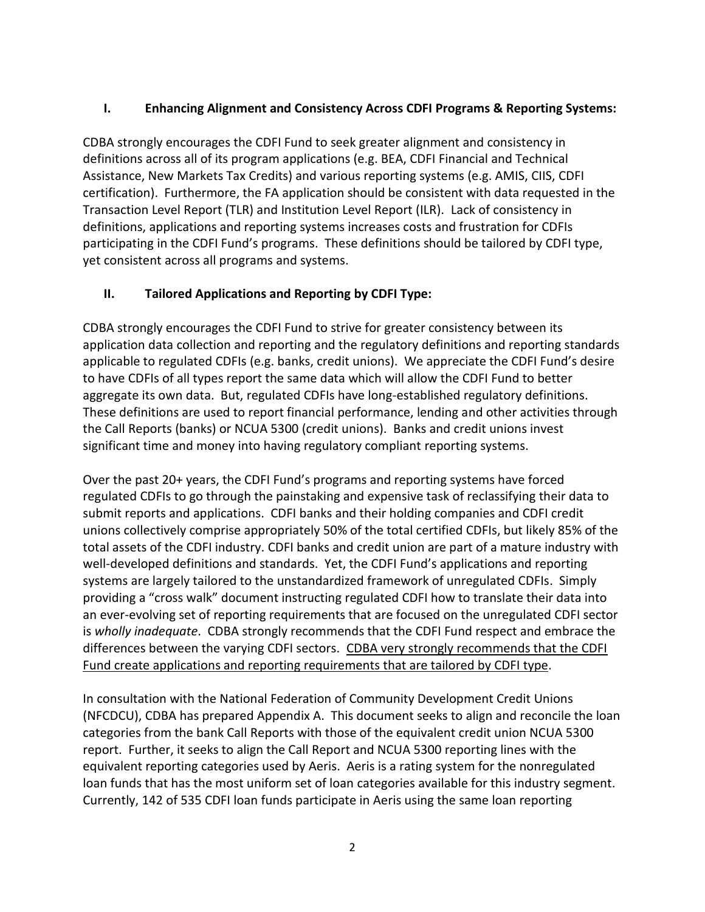# **I. Enhancing Alignment and Consistency Across CDFI Programs & Reporting Systems:**

CDBA strongly encourages the CDFI Fund to seek greater alignment and consistency in definitions across all of its program applications (e.g. BEA, CDFI Financial and Technical Assistance, New Markets Tax Credits) and various reporting systems (e.g. AMIS, CIIS, CDFI certification). Furthermore, the FA application should be consistent with data requested in the Transaction Level Report (TLR) and Institution Level Report (ILR). Lack of consistency in definitions, applications and reporting systems increases costs and frustration for CDFIs participating in the CDFI Fund's programs. These definitions should be tailored by CDFI type, yet consistent across all programs and systems.

## **II. Tailored Applications and Reporting by CDFI Type:**

CDBA strongly encourages the CDFI Fund to strive for greater consistency between its application data collection and reporting and the regulatory definitions and reporting standards applicable to regulated CDFIs (e.g. banks, credit unions). We appreciate the CDFI Fund's desire to have CDFIs of all types report the same data which will allow the CDFI Fund to better aggregate its own data. But, regulated CDFIs have long-established regulatory definitions. These definitions are used to report financial performance, lending and other activities through the Call Reports (banks) or NCUA 5300 (credit unions). Banks and credit unions invest significant time and money into having regulatory compliant reporting systems.

Over the past 20+ years, the CDFI Fund's programs and reporting systems have forced regulated CDFIs to go through the painstaking and expensive task of reclassifying their data to submit reports and applications. CDFI banks and their holding companies and CDFI credit unions collectively comprise appropriately 50% of the total certified CDFIs, but likely 85% of the total assets of the CDFI industry. CDFI banks and credit union are part of a mature industry with well-developed definitions and standards. Yet, the CDFI Fund's applications and reporting systems are largely tailored to the unstandardized framework of unregulated CDFIs. Simply providing a "cross walk" document instructing regulated CDFI how to translate their data into an ever-evolving set of reporting requirements that are focused on the unregulated CDFI sector is *wholly inadequate*. CDBA strongly recommends that the CDFI Fund respect and embrace the differences between the varying CDFI sectors. CDBA very strongly recommends that the CDFI Fund create applications and reporting requirements that are tailored by CDFI type.

In consultation with the National Federation of Community Development Credit Unions (NFCDCU), CDBA has prepared Appendix A. This document seeks to align and reconcile the loan categories from the bank Call Reports with those of the equivalent credit union NCUA 5300 report. Further, it seeks to align the Call Report and NCUA 5300 reporting lines with the equivalent reporting categories used by Aeris. Aeris is a rating system for the nonregulated loan funds that has the most uniform set of loan categories available for this industry segment. Currently, 142 of 535 CDFI loan funds participate in Aeris using the same loan reporting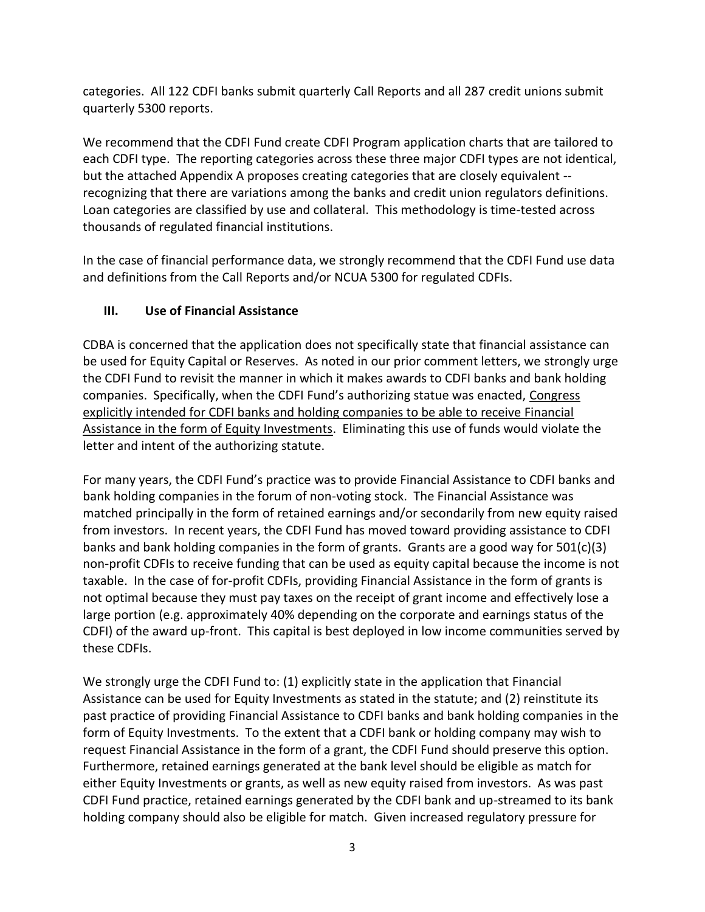categories. All 122 CDFI banks submit quarterly Call Reports and all 287 credit unions submit quarterly 5300 reports.

We recommend that the CDFI Fund create CDFI Program application charts that are tailored to each CDFI type. The reporting categories across these three major CDFI types are not identical, but the attached Appendix A proposes creating categories that are closely equivalent - recognizing that there are variations among the banks and credit union regulators definitions. Loan categories are classified by use and collateral. This methodology is time-tested across thousands of regulated financial institutions.

In the case of financial performance data, we strongly recommend that the CDFI Fund use data and definitions from the Call Reports and/or NCUA 5300 for regulated CDFIs.

# **III. Use of Financial Assistance**

CDBA is concerned that the application does not specifically state that financial assistance can be used for Equity Capital or Reserves. As noted in our prior comment letters, we strongly urge the CDFI Fund to revisit the manner in which it makes awards to CDFI banks and bank holding companies. Specifically, when the CDFI Fund's authorizing statue was enacted, Congress explicitly intended for CDFI banks and holding companies to be able to receive Financial Assistance in the form of Equity Investments. Eliminating this use of funds would violate the letter and intent of the authorizing statute.

For many years, the CDFI Fund's practice was to provide Financial Assistance to CDFI banks and bank holding companies in the forum of non-voting stock. The Financial Assistance was matched principally in the form of retained earnings and/or secondarily from new equity raised from investors. In recent years, the CDFI Fund has moved toward providing assistance to CDFI banks and bank holding companies in the form of grants. Grants are a good way for  $501(c)(3)$ non-profit CDFIs to receive funding that can be used as equity capital because the income is not taxable. In the case of for-profit CDFIs, providing Financial Assistance in the form of grants is not optimal because they must pay taxes on the receipt of grant income and effectively lose a large portion (e.g. approximately 40% depending on the corporate and earnings status of the CDFI) of the award up-front. This capital is best deployed in low income communities served by these CDFIs.

We strongly urge the CDFI Fund to: (1) explicitly state in the application that Financial Assistance can be used for Equity Investments as stated in the statute; and (2) reinstitute its past practice of providing Financial Assistance to CDFI banks and bank holding companies in the form of Equity Investments. To the extent that a CDFI bank or holding company may wish to request Financial Assistance in the form of a grant, the CDFI Fund should preserve this option. Furthermore, retained earnings generated at the bank level should be eligible as match for either Equity Investments or grants, as well as new equity raised from investors. As was past CDFI Fund practice, retained earnings generated by the CDFI bank and up-streamed to its bank holding company should also be eligible for match. Given increased regulatory pressure for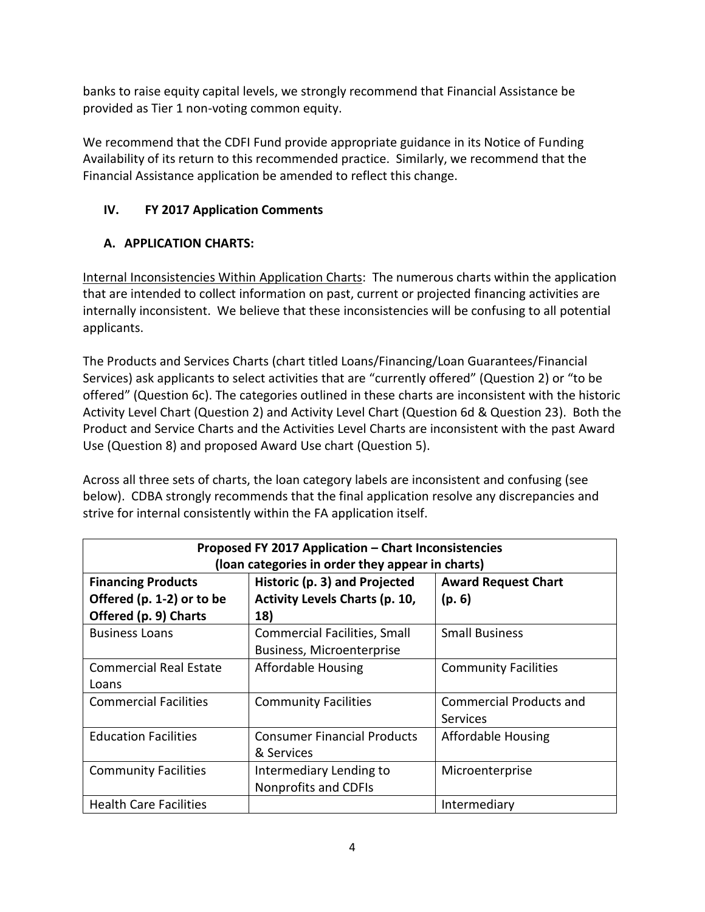banks to raise equity capital levels, we strongly recommend that Financial Assistance be provided as Tier 1 non-voting common equity.

We recommend that the CDFI Fund provide appropriate guidance in its Notice of Funding Availability of its return to this recommended practice. Similarly, we recommend that the Financial Assistance application be amended to reflect this change.

# **IV. FY 2017 Application Comments**

# **A. APPLICATION CHARTS:**

Internal Inconsistencies Within Application Charts: The numerous charts within the application that are intended to collect information on past, current or projected financing activities are internally inconsistent. We believe that these inconsistencies will be confusing to all potential applicants.

The Products and Services Charts (chart titled Loans/Financing/Loan Guarantees/Financial Services) ask applicants to select activities that are "currently offered" (Question 2) or "to be offered" (Question 6c). The categories outlined in these charts are inconsistent with the historic Activity Level Chart (Question 2) and Activity Level Chart (Question 6d & Question 23). Both the Product and Service Charts and the Activities Level Charts are inconsistent with the past Award Use (Question 8) and proposed Award Use chart (Question 5).

Across all three sets of charts, the loan category labels are inconsistent and confusing (see below). CDBA strongly recommends that the final application resolve any discrepancies and strive for internal consistently within the FA application itself.

| Proposed FY 2017 Application - Chart Inconsistencies                                                                                         |                                     |                                |  |  |  |
|----------------------------------------------------------------------------------------------------------------------------------------------|-------------------------------------|--------------------------------|--|--|--|
| (loan categories in order they appear in charts)<br>Historic (p. 3) and Projected<br><b>Financing Products</b><br><b>Award Request Chart</b> |                                     |                                |  |  |  |
| Offered (p. 1-2) or to be<br><b>Activity Levels Charts (p. 10,</b>                                                                           |                                     | (p. 6)                         |  |  |  |
| Offered (p. 9) Charts                                                                                                                        | 18)                                 |                                |  |  |  |
| <b>Business Loans</b>                                                                                                                        | <b>Commercial Facilities, Small</b> | <b>Small Business</b>          |  |  |  |
|                                                                                                                                              | Business, Microenterprise           |                                |  |  |  |
| <b>Commercial Real Estate</b>                                                                                                                | <b>Affordable Housing</b>           | <b>Community Facilities</b>    |  |  |  |
| Loans                                                                                                                                        |                                     |                                |  |  |  |
| <b>Commercial Facilities</b>                                                                                                                 | <b>Community Facilities</b>         | <b>Commercial Products and</b> |  |  |  |
|                                                                                                                                              |                                     | Services                       |  |  |  |
| <b>Education Facilities</b>                                                                                                                  | <b>Consumer Financial Products</b>  | <b>Affordable Housing</b>      |  |  |  |
|                                                                                                                                              | & Services                          |                                |  |  |  |
| <b>Community Facilities</b>                                                                                                                  | Intermediary Lending to             | Microenterprise                |  |  |  |
|                                                                                                                                              | Nonprofits and CDFIs                |                                |  |  |  |
| <b>Health Care Facilities</b>                                                                                                                |                                     | Intermediary                   |  |  |  |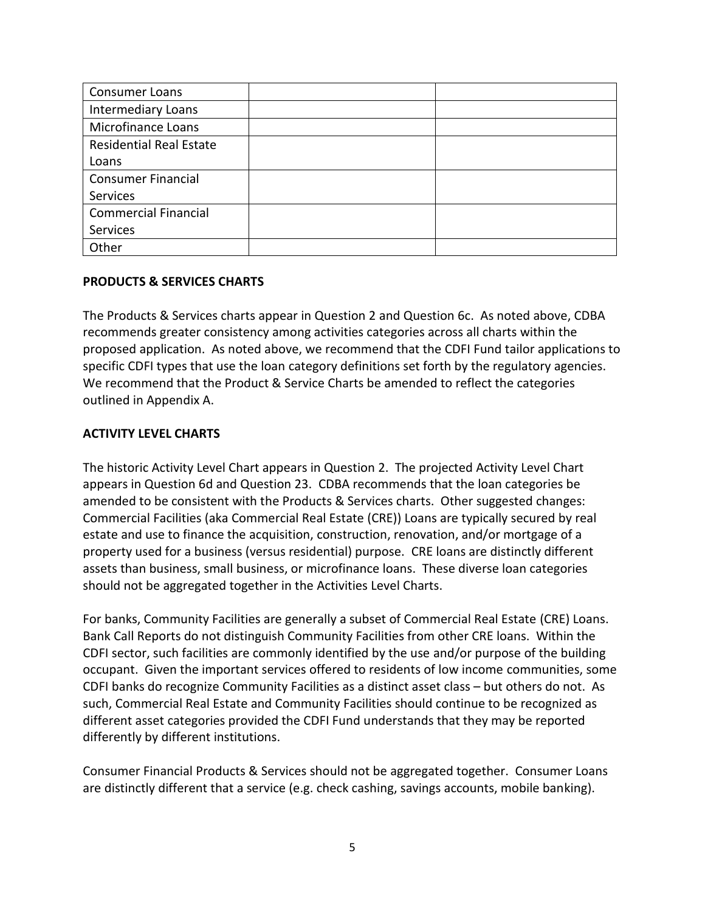| <b>Consumer Loans</b>          |  |
|--------------------------------|--|
| <b>Intermediary Loans</b>      |  |
| <b>Microfinance Loans</b>      |  |
| <b>Residential Real Estate</b> |  |
| Loans                          |  |
| <b>Consumer Financial</b>      |  |
| <b>Services</b>                |  |
| <b>Commercial Financial</b>    |  |
| Services                       |  |
| Other                          |  |

#### **PRODUCTS & SERVICES CHARTS**

The Products & Services charts appear in Question 2 and Question 6c. As noted above, CDBA recommends greater consistency among activities categories across all charts within the proposed application. As noted above, we recommend that the CDFI Fund tailor applications to specific CDFI types that use the loan category definitions set forth by the regulatory agencies. We recommend that the Product & Service Charts be amended to reflect the categories outlined in Appendix A.

## **ACTIVITY LEVEL CHARTS**

The historic Activity Level Chart appears in Question 2. The projected Activity Level Chart appears in Question 6d and Question 23. CDBA recommends that the loan categories be amended to be consistent with the Products & Services charts. Other suggested changes: Commercial Facilities (aka Commercial Real Estate (CRE)) Loans are typically secured by real estate and use to finance the acquisition, construction, renovation, and/or mortgage of a property used for a business (versus residential) purpose. CRE loans are distinctly different assets than business, small business, or microfinance loans. These diverse loan categories should not be aggregated together in the Activities Level Charts.

For banks, Community Facilities are generally a subset of Commercial Real Estate (CRE) Loans. Bank Call Reports do not distinguish Community Facilities from other CRE loans. Within the CDFI sector, such facilities are commonly identified by the use and/or purpose of the building occupant. Given the important services offered to residents of low income communities, some CDFI banks do recognize Community Facilities as a distinct asset class – but others do not. As such, Commercial Real Estate and Community Facilities should continue to be recognized as different asset categories provided the CDFI Fund understands that they may be reported differently by different institutions.

Consumer Financial Products & Services should not be aggregated together. Consumer Loans are distinctly different that a service (e.g. check cashing, savings accounts, mobile banking).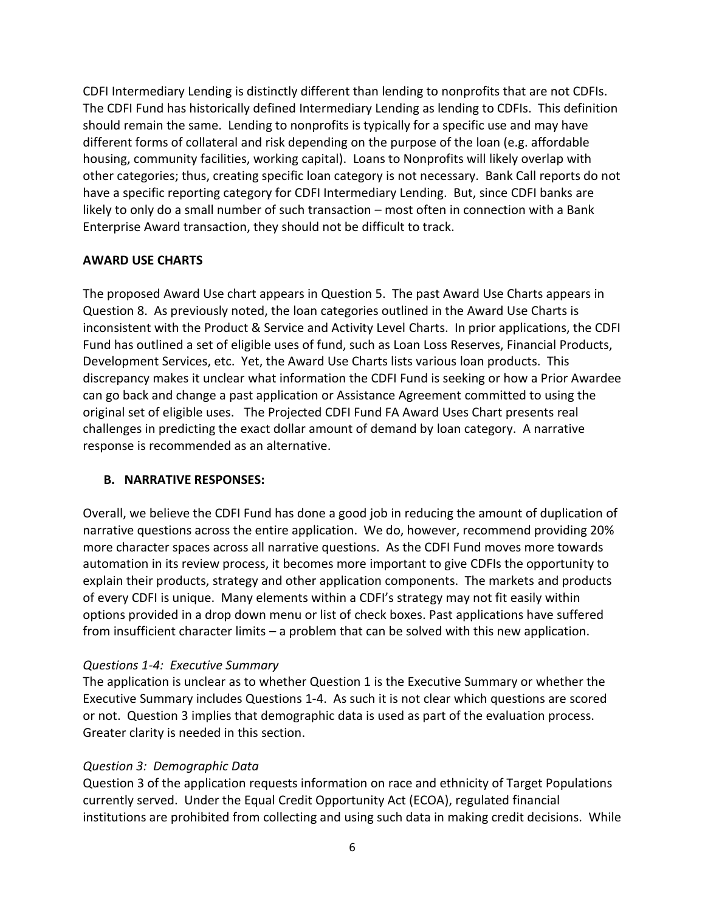CDFI Intermediary Lending is distinctly different than lending to nonprofits that are not CDFIs. The CDFI Fund has historically defined Intermediary Lending as lending to CDFIs. This definition should remain the same. Lending to nonprofits is typically for a specific use and may have different forms of collateral and risk depending on the purpose of the loan (e.g. affordable housing, community facilities, working capital). Loans to Nonprofits will likely overlap with other categories; thus, creating specific loan category is not necessary. Bank Call reports do not have a specific reporting category for CDFI Intermediary Lending. But, since CDFI banks are likely to only do a small number of such transaction – most often in connection with a Bank Enterprise Award transaction, they should not be difficult to track.

#### **AWARD USE CHARTS**

The proposed Award Use chart appears in Question 5. The past Award Use Charts appears in Question 8. As previously noted, the loan categories outlined in the Award Use Charts is inconsistent with the Product & Service and Activity Level Charts. In prior applications, the CDFI Fund has outlined a set of eligible uses of fund, such as Loan Loss Reserves, Financial Products, Development Services, etc. Yet, the Award Use Charts lists various loan products. This discrepancy makes it unclear what information the CDFI Fund is seeking or how a Prior Awardee can go back and change a past application or Assistance Agreement committed to using the original set of eligible uses. The Projected CDFI Fund FA Award Uses Chart presents real challenges in predicting the exact dollar amount of demand by loan category. A narrative response is recommended as an alternative.

#### **B. NARRATIVE RESPONSES:**

Overall, we believe the CDFI Fund has done a good job in reducing the amount of duplication of narrative questions across the entire application. We do, however, recommend providing 20% more character spaces across all narrative questions. As the CDFI Fund moves more towards automation in its review process, it becomes more important to give CDFIs the opportunity to explain their products, strategy and other application components. The markets and products of every CDFI is unique. Many elements within a CDFI's strategy may not fit easily within options provided in a drop down menu or list of check boxes. Past applications have suffered from insufficient character limits – a problem that can be solved with this new application.

#### *Questions 1-4: Executive Summary*

The application is unclear as to whether Question 1 is the Executive Summary or whether the Executive Summary includes Questions 1-4. As such it is not clear which questions are scored or not. Question 3 implies that demographic data is used as part of the evaluation process. Greater clarity is needed in this section.

## *Question 3: Demographic Data*

Question 3 of the application requests information on race and ethnicity of Target Populations currently served. Under the Equal Credit Opportunity Act (ECOA), regulated financial institutions are prohibited from collecting and using such data in making credit decisions. While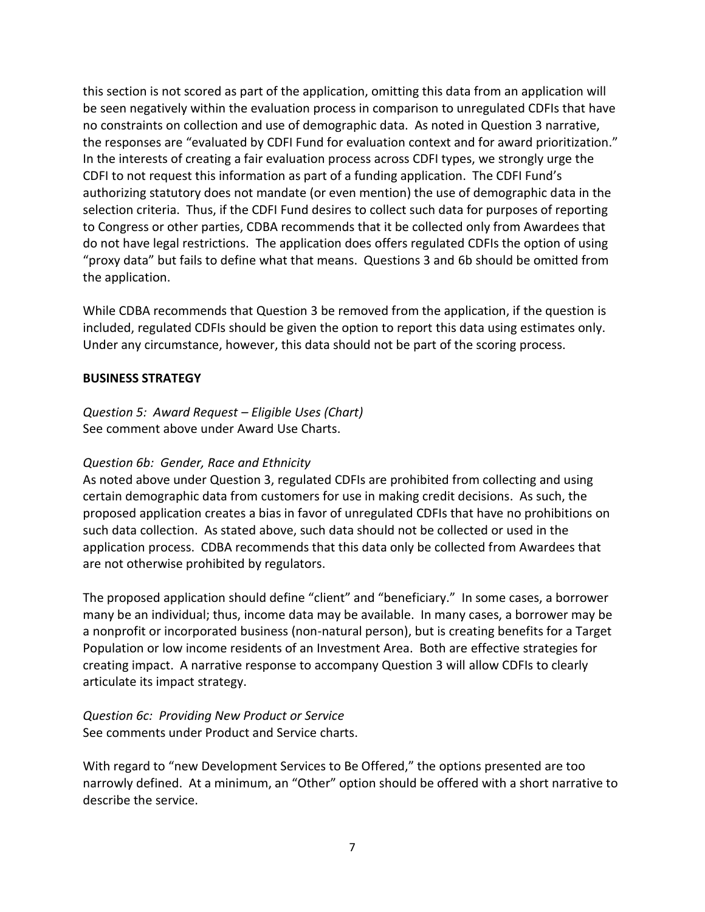this section is not scored as part of the application, omitting this data from an application will be seen negatively within the evaluation process in comparison to unregulated CDFIs that have no constraints on collection and use of demographic data. As noted in Question 3 narrative, the responses are "evaluated by CDFI Fund for evaluation context and for award prioritization." In the interests of creating a fair evaluation process across CDFI types, we strongly urge the CDFI to not request this information as part of a funding application. The CDFI Fund's authorizing statutory does not mandate (or even mention) the use of demographic data in the selection criteria. Thus, if the CDFI Fund desires to collect such data for purposes of reporting to Congress or other parties, CDBA recommends that it be collected only from Awardees that do not have legal restrictions. The application does offers regulated CDFIs the option of using "proxy data" but fails to define what that means. Questions 3 and 6b should be omitted from the application.

While CDBA recommends that Question 3 be removed from the application, if the question is included, regulated CDFIs should be given the option to report this data using estimates only. Under any circumstance, however, this data should not be part of the scoring process.

#### **BUSINESS STRATEGY**

*Question 5: Award Request – Eligible Uses (Chart)* See comment above under Award Use Charts.

#### *Question 6b: Gender, Race and Ethnicity*

As noted above under Question 3, regulated CDFIs are prohibited from collecting and using certain demographic data from customers for use in making credit decisions. As such, the proposed application creates a bias in favor of unregulated CDFIs that have no prohibitions on such data collection. As stated above, such data should not be collected or used in the application process. CDBA recommends that this data only be collected from Awardees that are not otherwise prohibited by regulators.

The proposed application should define "client" and "beneficiary." In some cases, a borrower many be an individual; thus, income data may be available. In many cases, a borrower may be a nonprofit or incorporated business (non-natural person), but is creating benefits for a Target Population or low income residents of an Investment Area. Both are effective strategies for creating impact. A narrative response to accompany Question 3 will allow CDFIs to clearly articulate its impact strategy.

*Question 6c: Providing New Product or Service* See comments under Product and Service charts.

With regard to "new Development Services to Be Offered," the options presented are too narrowly defined. At a minimum, an "Other" option should be offered with a short narrative to describe the service.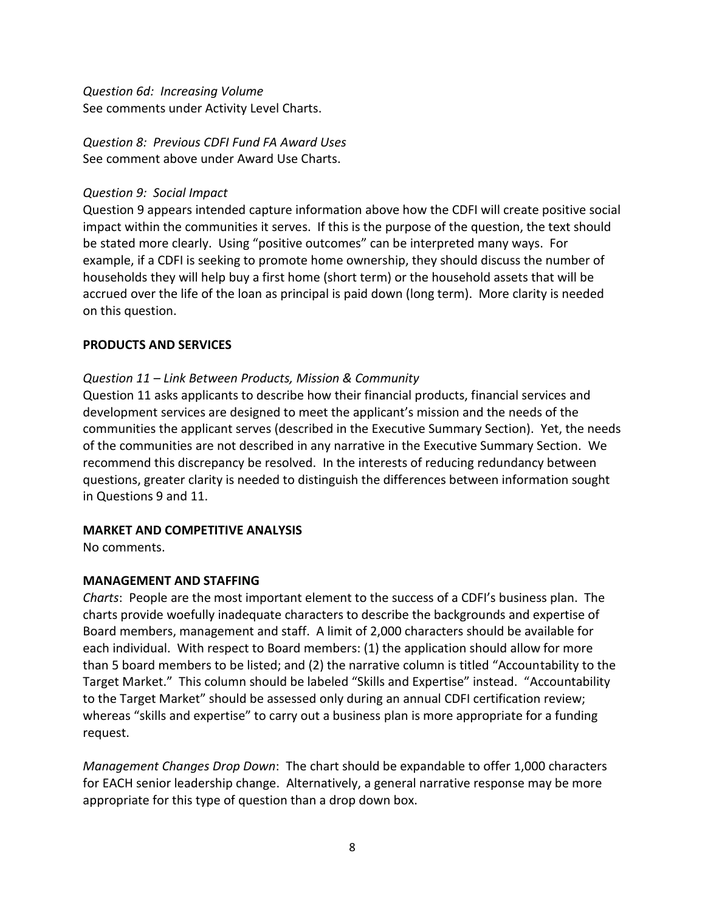*Question 6d: Increasing Volume* See comments under Activity Level Charts.

*Question 8: Previous CDFI Fund FA Award Uses* See comment above under Award Use Charts.

### *Question 9: Social Impact*

Question 9 appears intended capture information above how the CDFI will create positive social impact within the communities it serves. If this is the purpose of the question, the text should be stated more clearly. Using "positive outcomes" can be interpreted many ways. For example, if a CDFI is seeking to promote home ownership, they should discuss the number of households they will help buy a first home (short term) or the household assets that will be accrued over the life of the loan as principal is paid down (long term). More clarity is needed on this question.

#### **PRODUCTS AND SERVICES**

#### *Question 11 – Link Between Products, Mission & Community*

Question 11 asks applicants to describe how their financial products, financial services and development services are designed to meet the applicant's mission and the needs of the communities the applicant serves (described in the Executive Summary Section). Yet, the needs of the communities are not described in any narrative in the Executive Summary Section. We recommend this discrepancy be resolved. In the interests of reducing redundancy between questions, greater clarity is needed to distinguish the differences between information sought in Questions 9 and 11.

#### **MARKET AND COMPETITIVE ANALYSIS**

No comments.

#### **MANAGEMENT AND STAFFING**

*Charts*: People are the most important element to the success of a CDFI's business plan. The charts provide woefully inadequate characters to describe the backgrounds and expertise of Board members, management and staff. A limit of 2,000 characters should be available for each individual. With respect to Board members: (1) the application should allow for more than 5 board members to be listed; and (2) the narrative column is titled "Accountability to the Target Market." This column should be labeled "Skills and Expertise" instead. "Accountability to the Target Market" should be assessed only during an annual CDFI certification review; whereas "skills and expertise" to carry out a business plan is more appropriate for a funding request.

*Management Changes Drop Down*: The chart should be expandable to offer 1,000 characters for EACH senior leadership change. Alternatively, a general narrative response may be more appropriate for this type of question than a drop down box.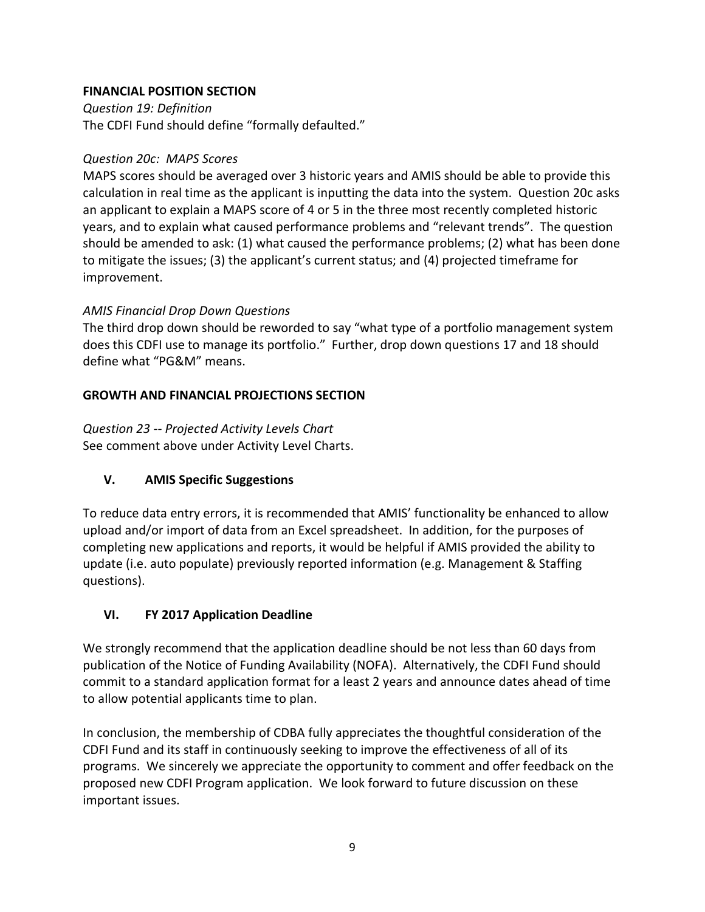## **FINANCIAL POSITION SECTION**

*Question 19: Definition* The CDFI Fund should define "formally defaulted."

### *Question 20c: MAPS Scores*

MAPS scores should be averaged over 3 historic years and AMIS should be able to provide this calculation in real time as the applicant is inputting the data into the system. Question 20c asks an applicant to explain a MAPS score of 4 or 5 in the three most recently completed historic years, and to explain what caused performance problems and "relevant trends". The question should be amended to ask: (1) what caused the performance problems; (2) what has been done to mitigate the issues; (3) the applicant's current status; and (4) projected timeframe for improvement.

## *AMIS Financial Drop Down Questions*

The third drop down should be reworded to say "what type of a portfolio management system does this CDFI use to manage its portfolio." Further, drop down questions 17 and 18 should define what "PG&M" means.

## **GROWTH AND FINANCIAL PROJECTIONS SECTION**

*Question 23 -- Projected Activity Levels Chart* See comment above under Activity Level Charts.

## **V. AMIS Specific Suggestions**

To reduce data entry errors, it is recommended that AMIS' functionality be enhanced to allow upload and/or import of data from an Excel spreadsheet. In addition, for the purposes of completing new applications and reports, it would be helpful if AMIS provided the ability to update (i.e. auto populate) previously reported information (e.g. Management & Staffing questions).

## **VI. FY 2017 Application Deadline**

We strongly recommend that the application deadline should be not less than 60 days from publication of the Notice of Funding Availability (NOFA). Alternatively, the CDFI Fund should commit to a standard application format for a least 2 years and announce dates ahead of time to allow potential applicants time to plan.

In conclusion, the membership of CDBA fully appreciates the thoughtful consideration of the CDFI Fund and its staff in continuously seeking to improve the effectiveness of all of its programs. We sincerely we appreciate the opportunity to comment and offer feedback on the proposed new CDFI Program application. We look forward to future discussion on these important issues.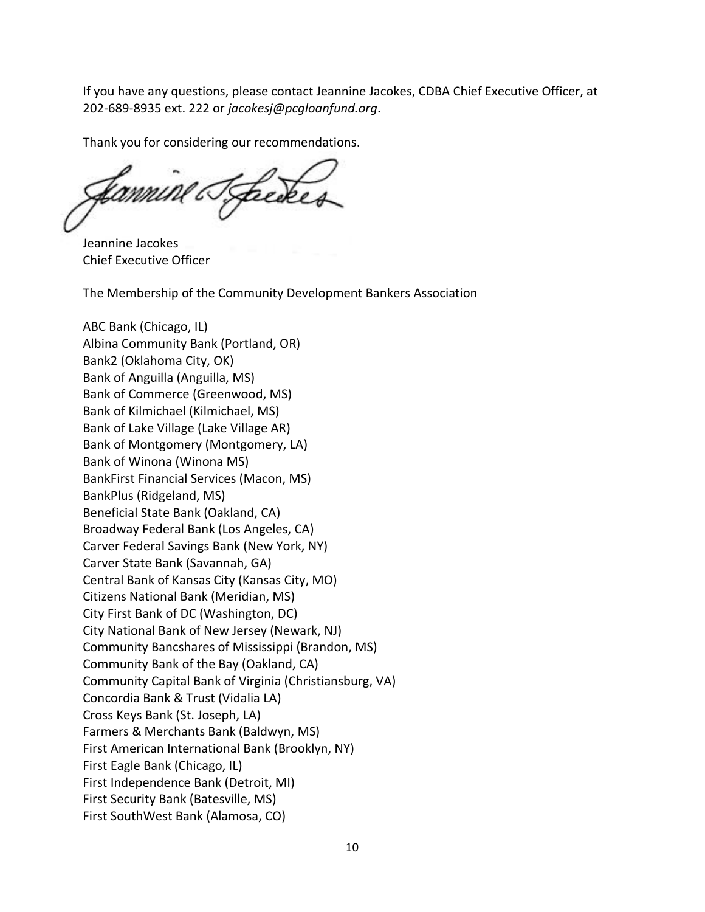If you have any questions, please contact Jeannine Jacokes, CDBA Chief Executive Officer, at 202-689-8935 ext. 222 or *jacokesj@pcgloanfund.org*.

Thank you for considering our recommendations.

Jeannine Jacokes Chief Executive Officer

The Membership of the Community Development Bankers Association

ABC Bank (Chicago, IL) Albina Community Bank (Portland, OR) Bank2 (Oklahoma City, OK) Bank of Anguilla (Anguilla, MS) Bank of Commerce (Greenwood, MS) Bank of Kilmichael (Kilmichael, MS) Bank of Lake Village (Lake Village AR) Bank of Montgomery (Montgomery, LA) Bank of Winona (Winona MS) BankFirst Financial Services (Macon, MS) BankPlus (Ridgeland, MS) Beneficial State Bank (Oakland, CA) Broadway Federal Bank (Los Angeles, CA) Carver Federal Savings Bank (New York, NY) Carver State Bank (Savannah, GA) Central Bank of Kansas City (Kansas City, MO) Citizens National Bank (Meridian, MS) City First Bank of DC (Washington, DC) City National Bank of New Jersey (Newark, NJ) Community Bancshares of Mississippi (Brandon, MS) Community Bank of the Bay (Oakland, CA) Community Capital Bank of Virginia (Christiansburg, VA) Concordia Bank & Trust (Vidalia LA) Cross Keys Bank (St. Joseph, LA) Farmers & Merchants Bank (Baldwyn, MS) First American International Bank (Brooklyn, NY) First Eagle Bank (Chicago, IL) First Independence Bank (Detroit, MI) First Security Bank (Batesville, MS) First SouthWest Bank (Alamosa, CO)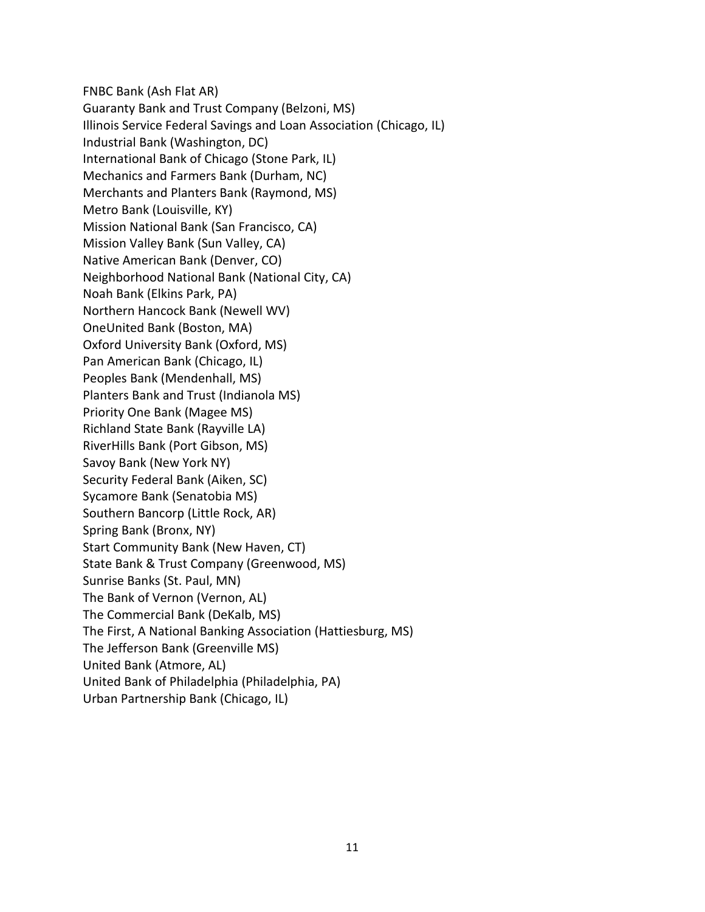FNBC Bank (Ash Flat AR) Guaranty Bank and Trust Company (Belzoni, MS) Illinois Service Federal Savings and Loan Association (Chicago, IL) Industrial Bank (Washington, DC) International Bank of Chicago (Stone Park, IL) Mechanics and Farmers Bank (Durham, NC) Merchants and Planters Bank (Raymond, MS) Metro Bank (Louisville, KY) Mission National Bank (San Francisco, CA) Mission Valley Bank (Sun Valley, CA) Native American Bank (Denver, CO) Neighborhood National Bank (National City, CA) Noah Bank (Elkins Park, PA) Northern Hancock Bank (Newell WV) OneUnited Bank (Boston, MA) Oxford University Bank (Oxford, MS) Pan American Bank (Chicago, IL) Peoples Bank (Mendenhall, MS) Planters Bank and Trust (Indianola MS) Priority One Bank (Magee MS) Richland State Bank (Rayville LA) RiverHills Bank (Port Gibson, MS) Savoy Bank (New York NY) Security Federal Bank (Aiken, SC) Sycamore Bank (Senatobia MS) Southern Bancorp (Little Rock, AR) Spring Bank (Bronx, NY) Start Community Bank (New Haven, CT) State Bank & Trust Company (Greenwood, MS) Sunrise Banks (St. Paul, MN) The Bank of Vernon (Vernon, AL) The Commercial Bank (DeKalb, MS) The First, A National Banking Association (Hattiesburg, MS) The Jefferson Bank (Greenville MS) United Bank (Atmore, AL) United Bank of Philadelphia (Philadelphia, PA) Urban Partnership Bank (Chicago, IL)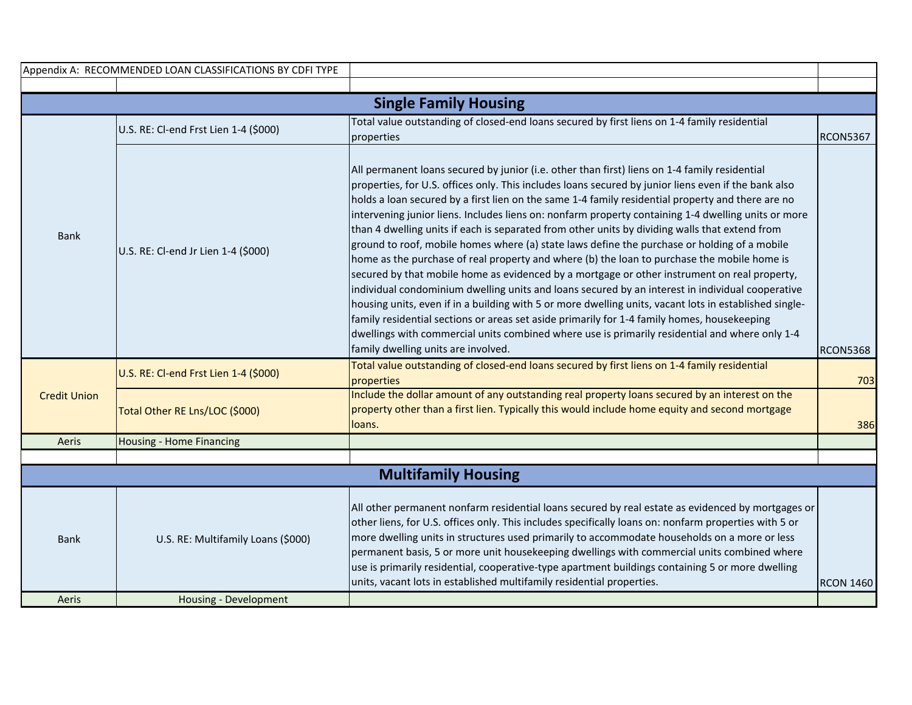|                            | Appendix A: RECOMMENDED LOAN CLASSIFICATIONS BY CDFI TYPE   |                                                                                                                                                                                                                                                                                                                                                                                                                                                                                                                                                                                                                                                                                                                                                                                                                                                                                                                                                                                                                                                                                                                                                                                                                                                                          |                  |  |
|----------------------------|-------------------------------------------------------------|--------------------------------------------------------------------------------------------------------------------------------------------------------------------------------------------------------------------------------------------------------------------------------------------------------------------------------------------------------------------------------------------------------------------------------------------------------------------------------------------------------------------------------------------------------------------------------------------------------------------------------------------------------------------------------------------------------------------------------------------------------------------------------------------------------------------------------------------------------------------------------------------------------------------------------------------------------------------------------------------------------------------------------------------------------------------------------------------------------------------------------------------------------------------------------------------------------------------------------------------------------------------------|------------------|--|
|                            |                                                             |                                                                                                                                                                                                                                                                                                                                                                                                                                                                                                                                                                                                                                                                                                                                                                                                                                                                                                                                                                                                                                                                                                                                                                                                                                                                          |                  |  |
|                            |                                                             | <b>Single Family Housing</b>                                                                                                                                                                                                                                                                                                                                                                                                                                                                                                                                                                                                                                                                                                                                                                                                                                                                                                                                                                                                                                                                                                                                                                                                                                             |                  |  |
|                            | U.S. RE: Cl-end Frst Lien 1-4 (\$000)                       | Total value outstanding of closed-end loans secured by first liens on 1-4 family residential<br>properties                                                                                                                                                                                                                                                                                                                                                                                                                                                                                                                                                                                                                                                                                                                                                                                                                                                                                                                                                                                                                                                                                                                                                               | <b>RCON5367</b>  |  |
| <b>Bank</b>                | U.S. RE: Cl-end Jr Lien 1-4 (\$000)                         | All permanent loans secured by junior (i.e. other than first) liens on 1-4 family residential<br>properties, for U.S. offices only. This includes loans secured by junior liens even if the bank also<br>holds a loan secured by a first lien on the same 1-4 family residential property and there are no<br>intervening junior liens. Includes liens on: nonfarm property containing 1-4 dwelling units or more<br>than 4 dwelling units if each is separated from other units by dividing walls that extend from<br>ground to roof, mobile homes where (a) state laws define the purchase or holding of a mobile<br>home as the purchase of real property and where (b) the loan to purchase the mobile home is<br>secured by that mobile home as evidenced by a mortgage or other instrument on real property,<br>individual condominium dwelling units and loans secured by an interest in individual cooperative<br>housing units, even if in a building with 5 or more dwelling units, vacant lots in established single-<br>family residential sections or areas set aside primarily for 1-4 family homes, housekeeping<br>dwellings with commercial units combined where use is primarily residential and where only 1-4<br>family dwelling units are involved. | <b>RCON5368</b>  |  |
|                            | U.S. RE: Cl-end Frst Lien 1-4 (\$000)                       | Total value outstanding of closed-end loans secured by first liens on 1-4 family residential<br>properties                                                                                                                                                                                                                                                                                                                                                                                                                                                                                                                                                                                                                                                                                                                                                                                                                                                                                                                                                                                                                                                                                                                                                               | 703              |  |
| <b>Credit Union</b>        | Total Other RE Lns/LOC (\$000)                              | Include the dollar amount of any outstanding real property loans secured by an interest on the<br>property other than a first lien. Typically this would include home equity and second mortgage<br>loans.                                                                                                                                                                                                                                                                                                                                                                                                                                                                                                                                                                                                                                                                                                                                                                                                                                                                                                                                                                                                                                                               | 386              |  |
| Aeris                      | <b>Housing - Home Financing</b>                             |                                                                                                                                                                                                                                                                                                                                                                                                                                                                                                                                                                                                                                                                                                                                                                                                                                                                                                                                                                                                                                                                                                                                                                                                                                                                          |                  |  |
|                            |                                                             |                                                                                                                                                                                                                                                                                                                                                                                                                                                                                                                                                                                                                                                                                                                                                                                                                                                                                                                                                                                                                                                                                                                                                                                                                                                                          |                  |  |
| <b>Multifamily Housing</b> |                                                             |                                                                                                                                                                                                                                                                                                                                                                                                                                                                                                                                                                                                                                                                                                                                                                                                                                                                                                                                                                                                                                                                                                                                                                                                                                                                          |                  |  |
| <b>Bank</b><br>Aeris       | U.S. RE: Multifamily Loans (\$000)<br>Housing - Development | All other permanent nonfarm residential loans secured by real estate as evidenced by mortgages or<br>other liens, for U.S. offices only. This includes specifically loans on: nonfarm properties with 5 or<br>more dwelling units in structures used primarily to accommodate households on a more or less<br>permanent basis, 5 or more unit housekeeping dwellings with commercial units combined where<br>use is primarily residential, cooperative-type apartment buildings containing 5 or more dwelling<br>units, vacant lots in established multifamily residential properties.                                                                                                                                                                                                                                                                                                                                                                                                                                                                                                                                                                                                                                                                                   | <b>RCON 1460</b> |  |
|                            |                                                             |                                                                                                                                                                                                                                                                                                                                                                                                                                                                                                                                                                                                                                                                                                                                                                                                                                                                                                                                                                                                                                                                                                                                                                                                                                                                          |                  |  |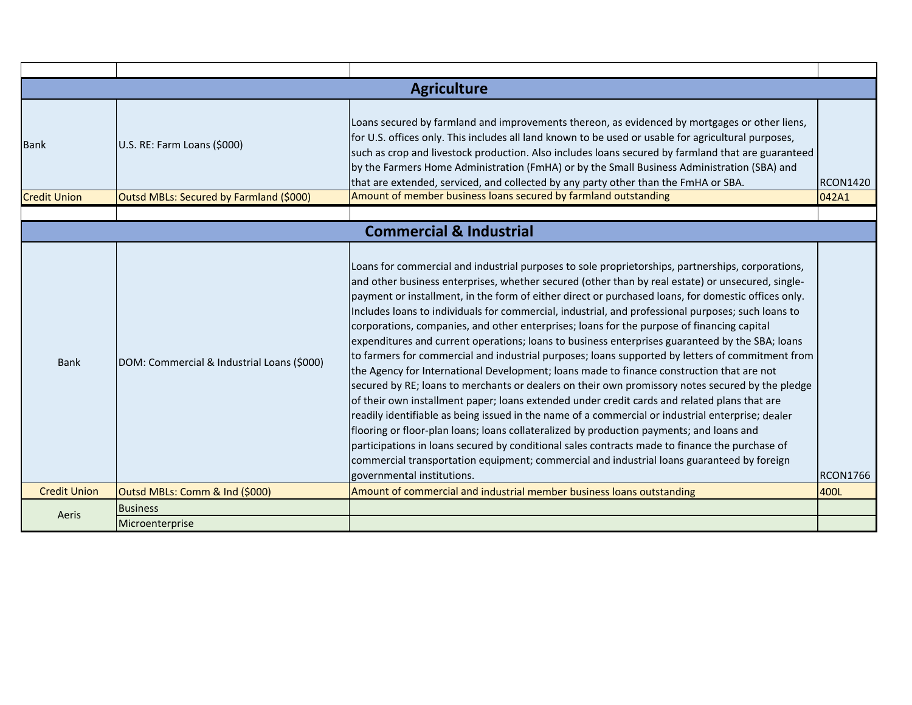| <b>Agriculture</b>  |                                            |                                                                                                                                                                                                                                                                                                                                                                                                                                                                                                                                                                                                                                                                                                                                                                                                                                                                                                                                                                                                                                                                                                                                                                                                                                                                                                                                                                                                                                                          |                 |
|---------------------|--------------------------------------------|----------------------------------------------------------------------------------------------------------------------------------------------------------------------------------------------------------------------------------------------------------------------------------------------------------------------------------------------------------------------------------------------------------------------------------------------------------------------------------------------------------------------------------------------------------------------------------------------------------------------------------------------------------------------------------------------------------------------------------------------------------------------------------------------------------------------------------------------------------------------------------------------------------------------------------------------------------------------------------------------------------------------------------------------------------------------------------------------------------------------------------------------------------------------------------------------------------------------------------------------------------------------------------------------------------------------------------------------------------------------------------------------------------------------------------------------------------|-----------------|
| <b>Bank</b>         | U.S. RE: Farm Loans (\$000)                | Loans secured by farmland and improvements thereon, as evidenced by mortgages or other liens,<br>for U.S. offices only. This includes all land known to be used or usable for agricultural purposes,<br>such as crop and livestock production. Also includes loans secured by farmland that are guaranteed<br>by the Farmers Home Administration (FmHA) or by the Small Business Administration (SBA) and<br>that are extended, serviced, and collected by any party other than the FmHA or SBA.                                                                                                                                                                                                                                                                                                                                                                                                                                                                                                                                                                                                                                                                                                                                                                                                                                                                                                                                                         | <b>RCON1420</b> |
| <b>Credit Union</b> | Outsd MBLs: Secured by Farmland (\$000)    | Amount of member business loans secured by farmland outstanding                                                                                                                                                                                                                                                                                                                                                                                                                                                                                                                                                                                                                                                                                                                                                                                                                                                                                                                                                                                                                                                                                                                                                                                                                                                                                                                                                                                          | 042A1           |
|                     |                                            |                                                                                                                                                                                                                                                                                                                                                                                                                                                                                                                                                                                                                                                                                                                                                                                                                                                                                                                                                                                                                                                                                                                                                                                                                                                                                                                                                                                                                                                          |                 |
|                     |                                            | <b>Commercial &amp; Industrial</b>                                                                                                                                                                                                                                                                                                                                                                                                                                                                                                                                                                                                                                                                                                                                                                                                                                                                                                                                                                                                                                                                                                                                                                                                                                                                                                                                                                                                                       |                 |
| <b>Bank</b>         | DOM: Commercial & Industrial Loans (\$000) | Loans for commercial and industrial purposes to sole proprietorships, partnerships, corporations,<br>and other business enterprises, whether secured (other than by real estate) or unsecured, single-<br>payment or installment, in the form of either direct or purchased loans, for domestic offices only.<br>Includes loans to individuals for commercial, industrial, and professional purposes; such loans to<br>corporations, companies, and other enterprises; loans for the purpose of financing capital<br>expenditures and current operations; loans to business enterprises guaranteed by the SBA; loans<br>to farmers for commercial and industrial purposes; loans supported by letters of commitment from<br>the Agency for International Development; loans made to finance construction that are not<br>secured by RE; loans to merchants or dealers on their own promissory notes secured by the pledge<br>of their own installment paper; loans extended under credit cards and related plans that are<br>readily identifiable as being issued in the name of a commercial or industrial enterprise; dealer<br>flooring or floor-plan loans; loans collateralized by production payments; and loans and<br>participations in loans secured by conditional sales contracts made to finance the purchase of<br>commercial transportation equipment; commercial and industrial loans guaranteed by foreign<br>governmental institutions. | <b>RCON1766</b> |
| <b>Credit Union</b> | Outsd MBLs: Comm & Ind (\$000)             | Amount of commercial and industrial member business loans outstanding                                                                                                                                                                                                                                                                                                                                                                                                                                                                                                                                                                                                                                                                                                                                                                                                                                                                                                                                                                                                                                                                                                                                                                                                                                                                                                                                                                                    | 400L            |
|                     | <b>Business</b>                            |                                                                                                                                                                                                                                                                                                                                                                                                                                                                                                                                                                                                                                                                                                                                                                                                                                                                                                                                                                                                                                                                                                                                                                                                                                                                                                                                                                                                                                                          |                 |
| Aeris               | Microenterprise                            |                                                                                                                                                                                                                                                                                                                                                                                                                                                                                                                                                                                                                                                                                                                                                                                                                                                                                                                                                                                                                                                                                                                                                                                                                                                                                                                                                                                                                                                          |                 |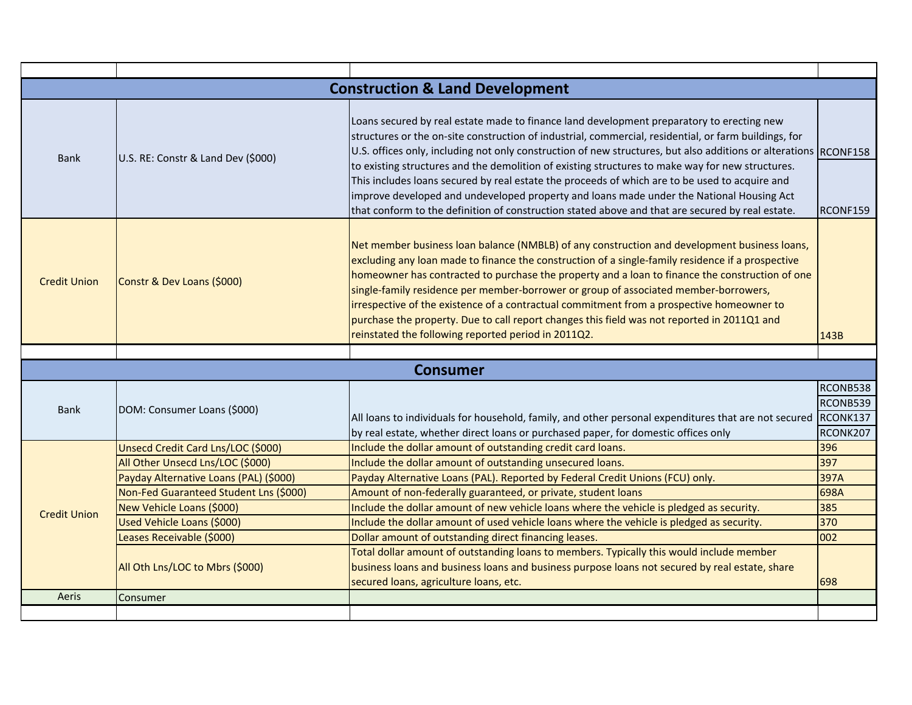| <b>Construction &amp; Land Development</b> |                                        |                                                                                                                                                                                                                                                                                                                                                                                                                                                                                                                                                                                                                                                                                                                              |                      |
|--------------------------------------------|----------------------------------------|------------------------------------------------------------------------------------------------------------------------------------------------------------------------------------------------------------------------------------------------------------------------------------------------------------------------------------------------------------------------------------------------------------------------------------------------------------------------------------------------------------------------------------------------------------------------------------------------------------------------------------------------------------------------------------------------------------------------------|----------------------|
| <b>Bank</b>                                | U.S. RE: Constr & Land Dev (\$000)     | Loans secured by real estate made to finance land development preparatory to erecting new<br>structures or the on-site construction of industrial, commercial, residential, or farm buildings, for<br>U.S. offices only, including not only construction of new structures, but also additions or alterations RCONF158<br>to existing structures and the demolition of existing structures to make way for new structures.<br>This includes loans secured by real estate the proceeds of which are to be used to acquire and<br>improve developed and undeveloped property and loans made under the National Housing Act<br>that conform to the definition of construction stated above and that are secured by real estate. | RCONF159             |
| <b>Credit Union</b>                        | Constr & Dev Loans (\$000)             | Net member business loan balance (NMBLB) of any construction and development business loans,<br>excluding any loan made to finance the construction of a single-family residence if a prospective<br>homeowner has contracted to purchase the property and a loan to finance the construction of one<br>single-family residence per member-borrower or group of associated member-borrowers,<br>irrespective of the existence of a contractual commitment from a prospective homeowner to<br>purchase the property. Due to call report changes this field was not reported in 2011Q1 and<br>reinstated the following reported period in 2011Q2.                                                                              | 143B                 |
|                                            |                                        |                                                                                                                                                                                                                                                                                                                                                                                                                                                                                                                                                                                                                                                                                                                              |                      |
|                                            |                                        |                                                                                                                                                                                                                                                                                                                                                                                                                                                                                                                                                                                                                                                                                                                              |                      |
|                                            |                                        | <b>Consumer</b>                                                                                                                                                                                                                                                                                                                                                                                                                                                                                                                                                                                                                                                                                                              |                      |
| <b>Bank</b>                                | DOM: Consumer Loans (\$000)            | All loans to individuals for household, family, and other personal expenditures that are not secured RCONK137                                                                                                                                                                                                                                                                                                                                                                                                                                                                                                                                                                                                                | RCONB538<br>RCONB539 |
|                                            | Unsecd Credit Card Lns/LOC (\$000)     | by real estate, whether direct loans or purchased paper, for domestic offices only<br>Include the dollar amount of outstanding credit card loans.                                                                                                                                                                                                                                                                                                                                                                                                                                                                                                                                                                            | RCONK207<br>396      |
|                                            | All Other Unsecd Lns/LOC (\$000)       | Include the dollar amount of outstanding unsecured loans.                                                                                                                                                                                                                                                                                                                                                                                                                                                                                                                                                                                                                                                                    | 397                  |
|                                            | Payday Alternative Loans (PAL) (\$000) | Payday Alternative Loans (PAL). Reported by Federal Credit Unions (FCU) only.                                                                                                                                                                                                                                                                                                                                                                                                                                                                                                                                                                                                                                                | 397A                 |
|                                            | Non-Fed Guaranteed Student Lns (\$000) | Amount of non-federally guaranteed, or private, student loans                                                                                                                                                                                                                                                                                                                                                                                                                                                                                                                                                                                                                                                                | 698A                 |
|                                            | New Vehicle Loans (\$000)              | Include the dollar amount of new vehicle loans where the vehicle is pledged as security.                                                                                                                                                                                                                                                                                                                                                                                                                                                                                                                                                                                                                                     | 385                  |
| <b>Credit Union</b>                        | Used Vehicle Loans (\$000)             | Include the dollar amount of used vehicle loans where the vehicle is pledged as security.                                                                                                                                                                                                                                                                                                                                                                                                                                                                                                                                                                                                                                    | 370                  |
|                                            | Leases Receivable (\$000)              | Dollar amount of outstanding direct financing leases.                                                                                                                                                                                                                                                                                                                                                                                                                                                                                                                                                                                                                                                                        | 002                  |
|                                            | All Oth Lns/LOC to Mbrs (\$000)        | Total dollar amount of outstanding loans to members. Typically this would include member<br>business loans and business loans and business purpose loans not secured by real estate, share<br>secured loans, agriculture loans, etc.                                                                                                                                                                                                                                                                                                                                                                                                                                                                                         | 698                  |
| Aeris                                      | Consumer                               |                                                                                                                                                                                                                                                                                                                                                                                                                                                                                                                                                                                                                                                                                                                              |                      |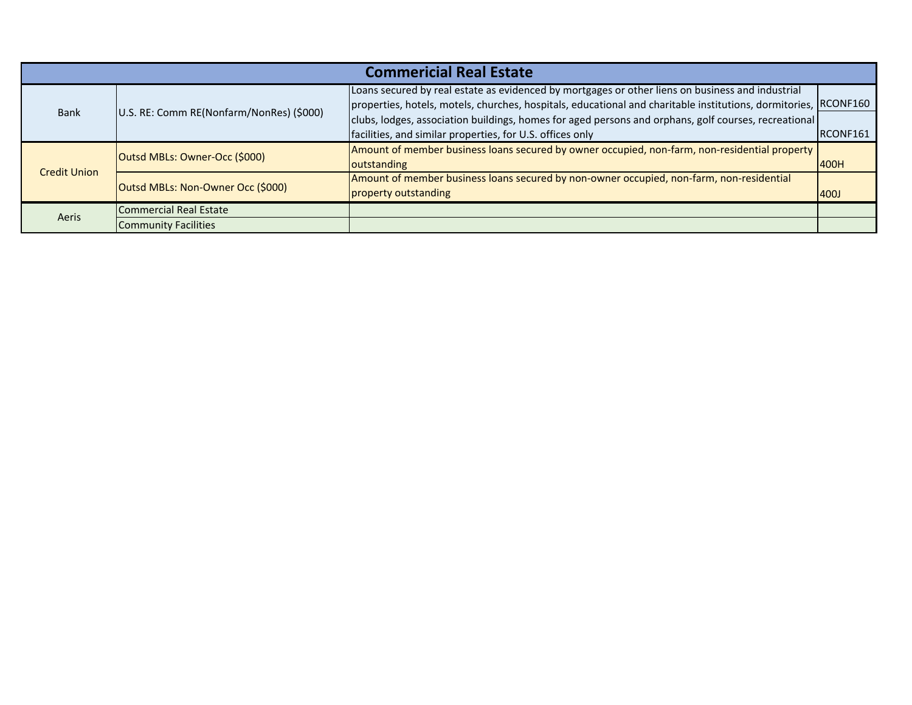| <b>Commericial Real Estate</b> |                                          |                                                                                                                                                                                                                     |             |
|--------------------------------|------------------------------------------|---------------------------------------------------------------------------------------------------------------------------------------------------------------------------------------------------------------------|-------------|
| <b>Bank</b>                    | U.S. RE: Comm RE(Nonfarm/NonRes) (\$000) | Loans secured by real estate as evidenced by mortgages or other liens on business and industrial<br>properties, hotels, motels, churches, hospitals, educational and charitable institutions, dormitories, RCONF160 |             |
|                                |                                          | clubs, lodges, association buildings, homes for aged persons and orphans, golf courses, recreational                                                                                                                |             |
|                                |                                          | facilities, and similar properties, for U.S. offices only                                                                                                                                                           | RCONF161    |
|                                | Outsd MBLs: Owner-Occ (\$000)            | Amount of member business loans secured by owner occupied, non-farm, non-residential property                                                                                                                       |             |
|                                |                                          | outstanding                                                                                                                                                                                                         | 400H        |
| <b>Credit Union</b>            |                                          | Amount of member business loans secured by non-owner occupied, non-farm, non-residential                                                                                                                            |             |
|                                | Outsd MBLs: Non-Owner Occ (\$000)        | property outstanding                                                                                                                                                                                                | <b>400J</b> |
|                                | Commercial Real Estate                   |                                                                                                                                                                                                                     |             |
| Aeris                          | <b>Community Facilities</b>              |                                                                                                                                                                                                                     |             |